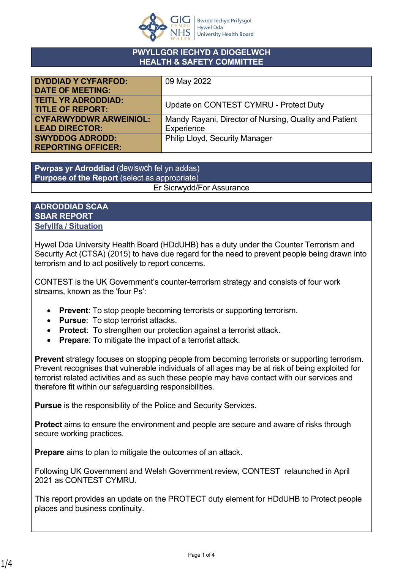

### **PWYLLGOR IECHYD A DIOGELWCH HEALTH & SAFETY COMMITTEE**

| <b>DYDDIAD Y CYFARFOD:</b>    | 09 May 2022                                            |
|-------------------------------|--------------------------------------------------------|
| <b>DATE OF MEETING:</b>       |                                                        |
| <b>TEITL YR ADRODDIAD:</b>    | Update on CONTEST CYMRU - Protect Duty                 |
| <b>TITLE OF REPORT:</b>       |                                                        |
| <b>CYFARWYDDWR ARWEINIOL:</b> | Mandy Rayani, Director of Nursing, Quality and Patient |
| <b>LEAD DIRECTOR:</b>         | Experience                                             |
| <b>SWYDDOG ADRODD:</b>        | <b>Philip Lloyd, Security Manager</b>                  |
| <b>REPORTING OFFICER:</b>     |                                                        |

**Pwrpas yr Adroddiad** (dewiswch fel yn addas) **Purpose of the Report** (select as appropriate) Er Sicrwydd/For Assurance

### **ADRODDIAD SCAA SBAR REPORT Sefyllfa / Situation**

Hywel Dda University Health Board (HDdUHB) has a duty under the Counter Terrorism and Security Act (CTSA) (2015) to have due regard for the need to prevent people being drawn into terrorism and to act positively to report concerns.

CONTEST is the UK Government's counter-terrorism strategy and consists of four work streams, known as the 'four Ps':

- **Prevent**: To stop people becoming terrorists or supporting terrorism.
- **Pursue**: To stop terrorist attacks.
- **Protect**: To strengthen our protection against a terrorist attack.
- **Prepare**: To mitigate the impact of a terrorist attack.

**Prevent** strategy focuses on stopping people from becoming terrorists or supporting terrorism. Prevent recognises that vulnerable individuals of all ages may be at risk of being exploited for terrorist related activities and as such these people may have contact with our services and therefore fit within our safeguarding responsibilities.

**Pursue** is the responsibility of the Police and Security Services.

**Protect** aims to ensure the environment and people are secure and aware of risks through secure working practices.

**Prepare** aims to plan to mitigate the outcomes of an attack.

Following UK Government and Welsh Government review, CONTEST relaunched in April 2021 as CONTEST CYMRU.

This report provides an update on the PROTECT duty element for HDdUHB to Protect people places and business continuity.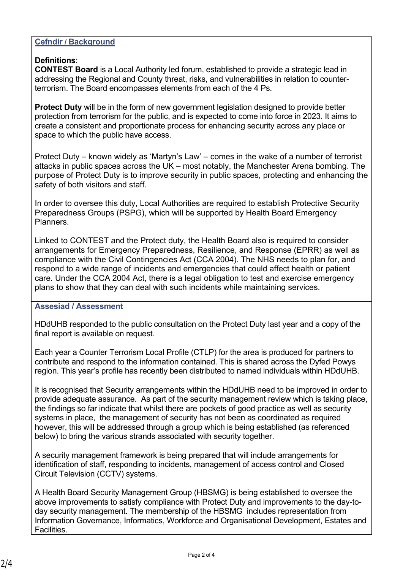## **Cefndir / Background**

# **Definitions**:

**CONTEST Board** is a Local Authority led forum, established to provide a strategic lead in addressing the Regional and County threat, risks, and vulnerabilities in relation to counterterrorism. The Board encompasses elements from each of the 4 Ps.

**Protect Duty** will be in the form of new government legislation designed to provide better protection from terrorism for the public, and is expected to come into force in 2023. It aims to create a consistent and proportionate process for enhancing security across any place or space to which the public have access.

Protect Duty – known widely as 'Martyn's Law' – comes in the wake of a number of terrorist attacks in public spaces across the UK – most notably, the Manchester Arena bombing. The purpose of Protect Duty is to improve security in public spaces, protecting and enhancing the safety of both visitors and staff.

In order to oversee this duty, Local Authorities are required to establish Protective Security Preparedness Groups (PSPG), which will be supported by Health Board Emergency Planners.

Linked to CONTEST and the Protect duty, the Health Board also is required to consider arrangements for Emergency Preparedness, Resilience, and Response (EPRR) as well as compliance with the Civil Contingencies Act (CCA 2004). The NHS needs to plan for, and respond to a wide range of incidents and emergencies that could affect health or patient care. Under the CCA 2004 Act, there is a legal obligation to test and exercise emergency plans to show that they can deal with such incidents while maintaining services.

### **Assesiad / Assessment**

HDdUHB responded to the public consultation on the Protect Duty last year and a copy of the final report is available on request.

Each year a Counter Terrorism Local Profile (CTLP) for the area is produced for partners to contribute and respond to the information contained. This is shared across the Dyfed Powys region. This year's profile has recently been distributed to named individuals within HDdUHB.

It is recognised that Security arrangements within the HDdUHB need to be improved in order to provide adequate assurance. As part of the security management review which is taking place, the findings so far indicate that whilst there are pockets of good practice as well as security systems in place, the management of security has not been as coordinated as required however, this will be addressed through a group which is being established (as referenced below) to bring the various strands associated with security together.

A security management framework is being prepared that will include arrangements for identification of staff, responding to incidents, management of access control and Closed Circuit Television (CCTV) systems.

A Health Board Security Management Group (HBSMG) is being established to oversee the above improvements to satisfy compliance with Protect Duty and improvements to the day-today security management. The membership of the HBSMG includes representation from Information Governance, Informatics, Workforce and Organisational Development, Estates and Facilities.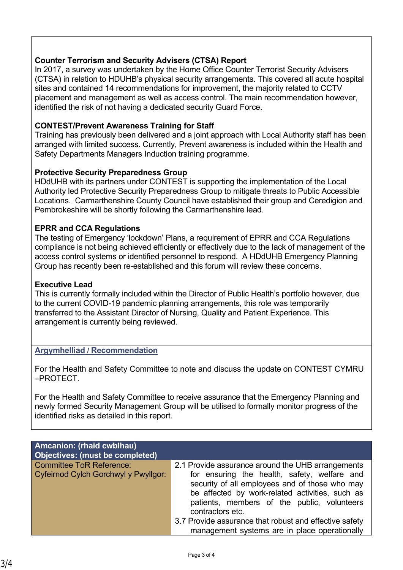# **Counter Terrorism and Security Advisers (CTSA) Report**

In 2017, a survey was undertaken by the Home Office Counter Terrorist Security Advisers (CTSA) in relation to HDUHB's physical security arrangements. This covered all acute hospital sites and contained 14 recommendations for improvement, the majority related to CCTV placement and management as well as access control. The main recommendation however, identified the risk of not having a dedicated security Guard Force.

## **CONTEST/Prevent Awareness Training for Staff**

Training has previously been delivered and a joint approach with Local Authority staff has been arranged with limited success. Currently, Prevent awareness is included within the Health and Safety Departments Managers Induction training programme.

### **Protective Security Preparedness Group**

HDdUHB with its partners under CONTEST is supporting the implementation of the Local Authority led Protective Security Preparedness Group to mitigate threats to Public Accessible Locations. Carmarthenshire County Council have established their group and Ceredigion and Pembrokeshire will be shortly following the Carmarthenshire lead.

## **EPRR and CCA Regulations**

The testing of Emergency 'lockdown' Plans, a requirement of EPRR and CCA Regulations compliance is not being achieved efficiently or effectively due to the lack of management of the access control systems or identified personnel to respond. A HDdUHB Emergency Planning Group has recently been re-established and this forum will review these concerns.

## **Executive Lead**

This is currently formally included within the Director of Public Health's portfolio however, due to the current COVID-19 pandemic planning arrangements, this role was temporarily transferred to the Assistant Director of Nursing, Quality and Patient Experience. This arrangement is currently being reviewed.

### **Argymhelliad / Recommendation**

For the Health and Safety Committee to note and discuss the update on CONTEST CYMRU –PROTECT.

For the Health and Safety Committee to receive assurance that the Emergency Planning and newly formed Security Management Group will be utilised to formally monitor progress of the identified risks as detailed in this report.

| <b>Amcanion: (rhaid cwblhau)</b><br>Objectives: (must be completed)     |                                                                                                                                                                                                                                                                           |
|-------------------------------------------------------------------------|---------------------------------------------------------------------------------------------------------------------------------------------------------------------------------------------------------------------------------------------------------------------------|
| <b>Committee ToR Reference:</b><br>Cyfeirnod Cylch Gorchwyl y Pwyllgor: | 2.1 Provide assurance around the UHB arrangements<br>for ensuring the health, safety, welfare and<br>security of all employees and of those who may<br>be affected by work-related activities, such as<br>patients, members of the public, volunteers<br>contractors etc. |
|                                                                         | 3.7 Provide assurance that robust and effective safety<br>management systems are in place operationally                                                                                                                                                                   |